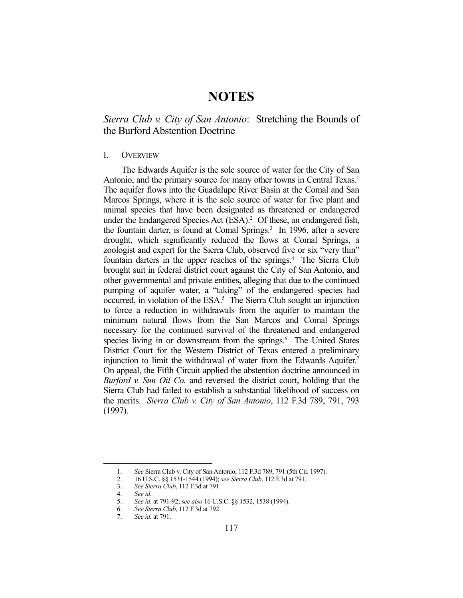# **NOTES**

## *Sierra Club v. City of San Antonio*: Stretching the Bounds of the Burford Abstention Doctrine

#### I. OVERVIEW

 The Edwards Aquifer is the sole source of water for the City of San Antonio, and the primary source for many other towns in Central Texas.<sup>1</sup> The aquifer flows into the Guadalupe River Basin at the Comal and San Marcos Springs, where it is the sole source of water for five plant and animal species that have been designated as threatened or endangered under the Endangered Species Act (ESA).<sup>2</sup> Of these, an endangered fish, the fountain darter, is found at Comal Springs.<sup>3</sup> In 1996, after a severe drought, which significantly reduced the flows at Comal Springs, a zoologist and expert for the Sierra Club, observed five or six "very thin" fountain darters in the upper reaches of the springs.<sup>4</sup> The Sierra Club brought suit in federal district court against the City of San Antonio, and other governmental and private entities, alleging that due to the continued pumping of aquifer water, a "taking" of the endangered species had occurred, in violation of the ESA.<sup>5</sup> The Sierra Club sought an injunction to force a reduction in withdrawals from the aquifer to maintain the minimum natural flows from the San Marcos and Comal Springs necessary for the continued survival of the threatened and endangered species living in or downstream from the springs.<sup>6</sup> The United States District Court for the Western District of Texas entered a preliminary injunction to limit the withdrawal of water from the Edwards Aquifer.<sup>7</sup> On appeal, the Fifth Circuit applied the abstention doctrine announced in *Burford v. Sun Oil Co.* and reversed the district court, holding that the Sierra Club had failed to establish a substantial likelihood of success on the merits. *Sierra Club v. City of San Antonio*, 112 F.3d 789, 791, 793 (1997).

<u>.</u>

 <sup>1.</sup> *See* Sierra Club v. City of San Antonio, 112 F.3d 789, 791 (5th Cir. 1997).

 <sup>2. 16</sup> U.S.C. §§ 1531-1544 (1994); *see Sierra Club*, 112 F.3d at 791.

 <sup>3.</sup> *See Sierra Club*, 112 F.3d at 791.

 <sup>4.</sup> *See id.*

 <sup>5.</sup> *See id.* at 791-92; *see also* 16 U.S.C. §§ 1532, 1538 (1994).

 <sup>6.</sup> *See Sierra Club*, 112 F.3d at 792.

 <sup>7.</sup> *See id.* at 791.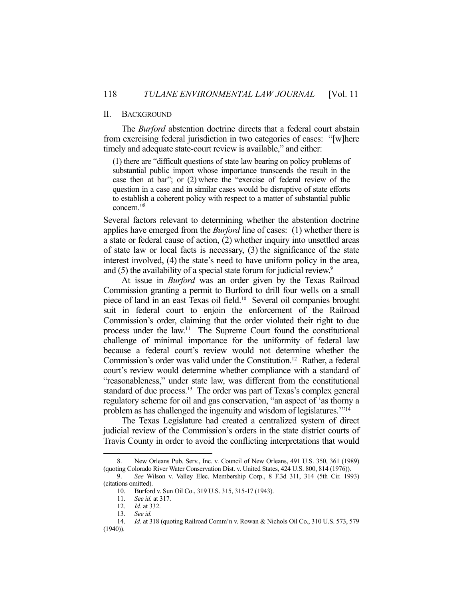#### II. BACKGROUND

 The *Burford* abstention doctrine directs that a federal court abstain from exercising federal jurisdiction in two categories of cases: "[w]here timely and adequate state-court review is available," and either:

(1) there are "difficult questions of state law bearing on policy problems of substantial public import whose importance transcends the result in the case then at bar"; or (2) where the "exercise of federal review of the question in a case and in similar cases would be disruptive of state efforts to establish a coherent policy with respect to a matter of substantial public concern."8

Several factors relevant to determining whether the abstention doctrine applies have emerged from the *Burford* line of cases: (1) whether there is a state or federal cause of action, (2) whether inquiry into unsettled areas of state law or local facts is necessary, (3) the significance of the state interest involved, (4) the state's need to have uniform policy in the area, and (5) the availability of a special state forum for judicial review.<sup>9</sup>

 At issue in *Burford* was an order given by the Texas Railroad Commission granting a permit to Burford to drill four wells on a small piece of land in an east Texas oil field.<sup>10</sup> Several oil companies brought suit in federal court to enjoin the enforcement of the Railroad Commission's order, claiming that the order violated their right to due process under the law.11 The Supreme Court found the constitutional challenge of minimal importance for the uniformity of federal law because a federal court's review would not determine whether the Commission's order was valid under the Constitution.<sup>12</sup> Rather, a federal court's review would determine whether compliance with a standard of "reasonableness," under state law, was different from the constitutional standard of due process.<sup>13</sup> The order was part of Texas's complex general regulatory scheme for oil and gas conservation, "an aspect of 'as thorny a problem as has challenged the ingenuity and wisdom of legislatures."<sup>14</sup>

 The Texas Legislature had created a centralized system of direct judicial review of the Commission's orders in the state district courts of Travis County in order to avoid the conflicting interpretations that would

 <sup>8.</sup> New Orleans Pub. Serv., Inc. v. Council of New Orleans, 491 U.S. 350, 361 (1989) (quoting Colorado River Water Conservation Dist. v. United States, 424 U.S. 800, 814 (1976)).

 <sup>9.</sup> *See* Wilson v. Valley Elec. Membership Corp., 8 F.3d 311, 314 (5th Cir. 1993) (citations omitted).

 <sup>10.</sup> Burford v. Sun Oil Co., 319 U.S. 315, 315-17 (1943).

 <sup>11.</sup> *See id.* at 317.

 <sup>12.</sup> *Id.* at 332.

 <sup>13.</sup> *See id.*

 <sup>14.</sup> *Id.* at 318 (quoting Railroad Comm'n v. Rowan & Nichols Oil Co., 310 U.S. 573, 579 (1940)).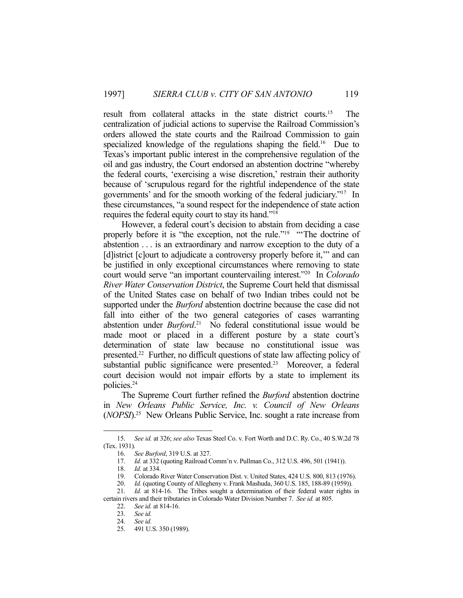result from collateral attacks in the state district courts.15 The centralization of judicial actions to supervise the Railroad Commission's orders allowed the state courts and the Railroad Commission to gain specialized knowledge of the regulations shaping the field.<sup>16</sup> Due to Texas's important public interest in the comprehensive regulation of the oil and gas industry, the Court endorsed an abstention doctrine "whereby the federal courts, 'exercising a wise discretion,' restrain their authority because of 'scrupulous regard for the rightful independence of the state governments' and for the smooth working of the federal judiciary."17 In these circumstances, "a sound respect for the independence of state action requires the federal equity court to stay its hand."18

 However, a federal court's decision to abstain from deciding a case properly before it is "the exception, not the rule."<sup>19</sup> "The doctrine of abstention . . . is an extraordinary and narrow exception to the duty of a [d]istrict [c]ourt to adjudicate a controversy properly before it,'" and can be justified in only exceptional circumstances where removing to state court would serve "an important countervailing interest."20 In *Colorado River Water Conservation District*, the Supreme Court held that dismissal of the United States case on behalf of two Indian tribes could not be supported under the *Burford* abstention doctrine because the case did not fall into either of the two general categories of cases warranting abstention under *Burford*. 21 No federal constitutional issue would be made moot or placed in a different posture by a state court's determination of state law because no constitutional issue was presented.22 Further, no difficult questions of state law affecting policy of substantial public significance were presented.<sup>23</sup> Moreover, a federal court decision would not impair efforts by a state to implement its policies.24

 The Supreme Court further refined the *Burford* abstention doctrine in *New Orleans Public Service, Inc. v. Council of New Orleans* (*NOPSI*).25 New Orleans Public Service, Inc. sought a rate increase from

<u>.</u>

 <sup>15.</sup> *See id.* at 326; *see also* Texas Steel Co. v. Fort Worth and D.C. Ry. Co., 40 S.W.2d 78 (Tex. 1931).

 <sup>16.</sup> *See Burford*, 319 U.S. at 327.

 <sup>17.</sup> *Id.* at 332 (quoting Railroad Comm'n v. Pullman Co., 312 U.S. 496, 501 (1941)).

 <sup>18.</sup> *Id.* at 334.

 <sup>19.</sup> Colorado River Water Conservation Dist. v. United States, 424 U.S. 800, 813 (1976).

 <sup>20.</sup> *Id.* (quoting County of Allegheny v. Frank Mashuda, 360 U.S. 185, 188-89 (1959)).

 <sup>21.</sup> *Id.* at 814-16. The Tribes sought a determination of their federal water rights in certain rivers and their tributaries in Colorado Water Division Number 7. *See id.* at 805.

 <sup>22.</sup> *See id.* at 814-16.

 <sup>23.</sup> *See id.*

 <sup>24.</sup> *See id.*

 <sup>25. 491</sup> U.S. 350 (1989).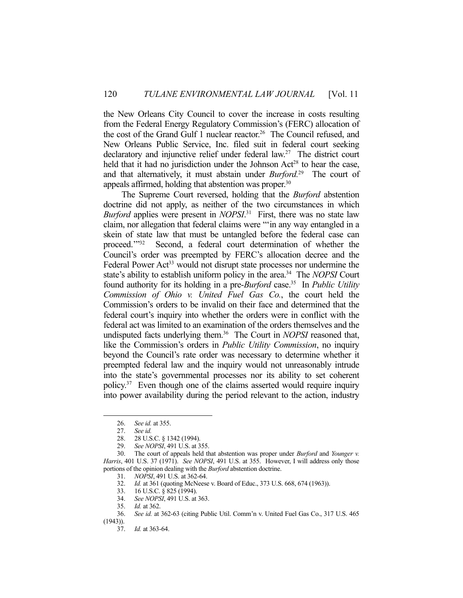the New Orleans City Council to cover the increase in costs resulting from the Federal Energy Regulatory Commission's (FERC) allocation of the cost of the Grand Gulf 1 nuclear reactor.26 The Council refused, and New Orleans Public Service, Inc. filed suit in federal court seeking declaratory and injunctive relief under federal law.<sup>27</sup> The district court held that it had no jurisdiction under the Johnson  $Act^{28}$  to hear the case, and that alternatively, it must abstain under *Burford.*29 The court of appeals affirmed, holding that abstention was proper.<sup>30</sup>

 The Supreme Court reversed, holding that the *Burford* abstention doctrine did not apply, as neither of the two circumstances in which *Burford* applies were present in *NOPSI*. 31 First, there was no state law claim, nor allegation that federal claims were "'in any way entangled in a skein of state law that must be untangled before the federal case can proceed.'"32 Second, a federal court determination of whether the Council's order was preempted by FERC's allocation decree and the Federal Power Act<sup>33</sup> would not disrupt state processes nor undermine the state's ability to establish uniform policy in the area.34 The *NOPSI* Court found authority for its holding in a pre-*Burford* case.35 In *Public Utility Commission of Ohio v. United Fuel Gas Co.*, the court held the Commission's orders to be invalid on their face and determined that the federal court's inquiry into whether the orders were in conflict with the federal act was limited to an examination of the orders themselves and the undisputed facts underlying them.36 The Court in *NOPSI* reasoned that, like the Commission's orders in *Public Utility Commission*, no inquiry beyond the Council's rate order was necessary to determine whether it preempted federal law and the inquiry would not unreasonably intrude into the state's governmental processes nor its ability to set coherent policy.37 Even though one of the claims asserted would require inquiry into power availability during the period relevant to the action, industry

1

33. 16 U.S.C. § 825 (1994).

 <sup>26.</sup> *See id.* at 355.

 <sup>27.</sup> *See id.* 

 <sup>28. 28</sup> U.S.C. § 1342 (1994).

 <sup>29.</sup> *See NOPSI*, 491 U.S. at 355.

 <sup>30.</sup> The court of appeals held that abstention was proper under *Burford* and *Younger v. Harris*, 401 U.S. 37 (1971). *See NOPSI*, 491 U.S. at 355. However, I will address only those portions of the opinion dealing with the *Burford* abstention doctrine.

 <sup>31.</sup> *NOPSI*, 491 U.S. at 362-64.

 <sup>32.</sup> *Id.* at 361 (quoting McNeese v. Board of Educ., 373 U.S. 668, 674 (1963)).

 <sup>34.</sup> *See NOPSI*, 491 U.S. at 363.

 <sup>35.</sup> *Id.* at 362.

 <sup>36.</sup> *See id.* at 362-63 (citing Public Util. Comm'n v. United Fuel Gas Co., 317 U.S. 465 (1943)).

 <sup>37.</sup> *Id.* at 363-64.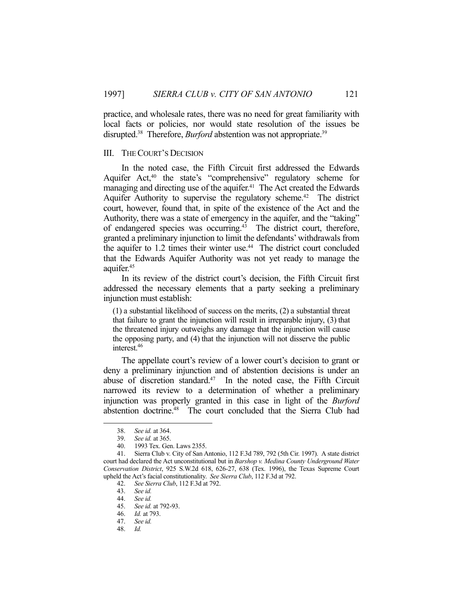practice, and wholesale rates, there was no need for great familiarity with local facts or policies, nor would state resolution of the issues be disrupted.<sup>38</sup> Therefore, *Burford* abstention was not appropriate.<sup>39</sup>

#### III. THE COURT'S DECISION

 In the noted case, the Fifth Circuit first addressed the Edwards Aquifer Act,<sup>40</sup> the state's "comprehensive" regulatory scheme for managing and directing use of the aquifer.<sup>41</sup> The Act created the Edwards Aquifer Authority to supervise the regulatory scheme.<sup>42</sup> The district court, however, found that, in spite of the existence of the Act and the Authority, there was a state of emergency in the aquifer, and the "taking" of endangered species was occurring.43 The district court, therefore, granted a preliminary injunction to limit the defendants' withdrawals from the aquifer to  $1.2$  times their winter use.<sup>44</sup> The district court concluded that the Edwards Aquifer Authority was not yet ready to manage the aquifer.<sup>45</sup>

 In its review of the district court's decision, the Fifth Circuit first addressed the necessary elements that a party seeking a preliminary injunction must establish:

(1) a substantial likelihood of success on the merits, (2) a substantial threat that failure to grant the injunction will result in irreparable injury, (3) that the threatened injury outweighs any damage that the injunction will cause the opposing party, and (4) that the injunction will not disserve the public interest.46

 The appellate court's review of a lower court's decision to grant or deny a preliminary injunction and of abstention decisions is under an abuse of discretion standard.<sup>47</sup> In the noted case, the Fifth Circuit narrowed its review to a determination of whether a preliminary injunction was properly granted in this case in light of the *Burford* abstention doctrine.<sup>48</sup> The court concluded that the Sierra Club had

 <sup>38.</sup> *See id.* at 364.

 <sup>39.</sup> *See id.* at 365.

 <sup>40. 1993</sup> Tex. Gen. Laws 2355.

 <sup>41.</sup> Sierra Club v. City of San Antonio, 112 F.3d 789, 792 (5th Cir. 1997). A state district court had declared the Act unconstitutional but in *Barshop v. Medina County Underground Water Conservation District*, 925 S.W.2d 618, 626-27, 638 (Tex. 1996), the Texas Supreme Court upheld the Act's facial constitutionality. *See Sierra Club*, 112 F.3d at 792.

 <sup>42.</sup> *See Sierra Club*, 112 F.3d at 792.

 <sup>43.</sup> *See id.* 

 <sup>44.</sup> *See id.*  45. *See id.* at 792-93.

 <sup>46.</sup> *Id.* at 793.

 <sup>47.</sup> *See id.* 

 <sup>48.</sup> *Id.*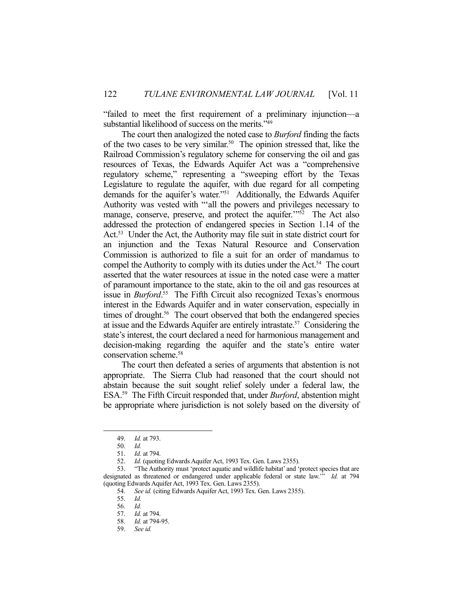"failed to meet the first requirement of a preliminary injunction—a substantial likelihood of success on the merits."<sup>49</sup>

 The court then analogized the noted case to *Burford* finding the facts of the two cases to be very similar.<sup>50</sup> The opinion stressed that, like the Railroad Commission's regulatory scheme for conserving the oil and gas resources of Texas, the Edwards Aquifer Act was a "comprehensive regulatory scheme," representing a "sweeping effort by the Texas Legislature to regulate the aquifer, with due regard for all competing demands for the aquifer's water."51 Additionally, the Edwards Aquifer Authority was vested with "'all the powers and privileges necessary to manage, conserve, preserve, and protect the aquifer."<sup>52</sup> The Act also addressed the protection of endangered species in Section 1.14 of the Act.<sup>53</sup> Under the Act, the Authority may file suit in state district court for an injunction and the Texas Natural Resource and Conservation Commission is authorized to file a suit for an order of mandamus to compel the Authority to comply with its duties under the Act.<sup>54</sup> The court asserted that the water resources at issue in the noted case were a matter of paramount importance to the state, akin to the oil and gas resources at issue in *Burford*.<sup>55</sup> The Fifth Circuit also recognized Texas's enormous interest in the Edwards Aquifer and in water conservation, especially in times of drought.<sup>56</sup> The court observed that both the endangered species at issue and the Edwards Aquifer are entirely intrastate.57 Considering the state's interest, the court declared a need for harmonious management and decision-making regarding the aquifer and the state's entire water conservation scheme.58

 The court then defeated a series of arguments that abstention is not appropriate. The Sierra Club had reasoned that the court should not abstain because the suit sought relief solely under a federal law, the ESA.59 The Fifth Circuit responded that, under *Burford*, abstention might be appropriate where jurisdiction is not solely based on the diversity of

<u>.</u>

 <sup>49.</sup> *Id.* at 793.

 <sup>50.</sup> *Id.*

 <sup>51.</sup> *Id.* at 794.

 <sup>52.</sup> *Id.* (quoting Edwards Aquifer Act, 1993 Tex. Gen. Laws 2355).

 <sup>53. &</sup>quot;The Authority must 'protect aquatic and wildlife habitat' and 'protect species that are designated as threatened or endangered under applicable federal or state law.'" *Id.* at 794 (quoting Edwards Aquifer Act, 1993 Tex. Gen. Laws 2355).

 <sup>54.</sup> *See id.* (citing Edwards Aquifer Act, 1993 Tex. Gen. Laws 2355).

 <sup>55.</sup> *Id.*

 <sup>56.</sup> *Id.*

 <sup>57.</sup> *Id.* at 794.

 <sup>58.</sup> *Id.* at 794-95.

 <sup>59.</sup> *See id.*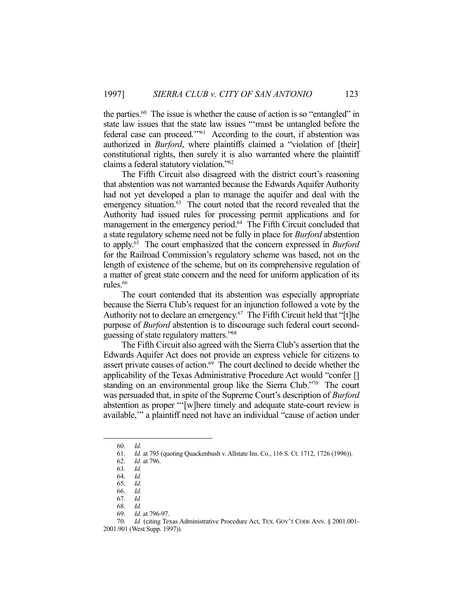the parties.<sup>60</sup> The issue is whether the cause of action is so "entangled" in state law issues that the state law issues "'must be untangled before the federal case can proceed.'"61 According to the court, if abstention was authorized in *Burford*, where plaintiffs claimed a "violation of [their] constitutional rights, then surely it is also warranted where the plaintiff claims a federal statutory violation."62

 The Fifth Circuit also disagreed with the district court's reasoning that abstention was not warranted because the Edwards Aquifer Authority had not yet developed a plan to manage the aquifer and deal with the emergency situation.<sup>63</sup> The court noted that the record revealed that the Authority had issued rules for processing permit applications and for management in the emergency period.<sup>64</sup> The Fifth Circuit concluded that a state regulatory scheme need not be fully in place for *Burford* abstention to apply.65 The court emphasized that the concern expressed in *Burford* for the Railroad Commission's regulatory scheme was based, not on the length of existence of the scheme, but on its comprehensive regulation of a matter of great state concern and the need for uniform application of its rules.<sup>66</sup>

 The court contended that its abstention was especially appropriate because the Sierra Club's request for an injunction followed a vote by the Authority not to declare an emergency.<sup>67</sup> The Fifth Circuit held that "[t]he purpose of *Burford* abstention is to discourage such federal court secondguessing of state regulatory matters."68

 The Fifth Circuit also agreed with the Sierra Club's assertion that the Edwards Aquifer Act does not provide an express vehicle for citizens to assert private causes of action.<sup>69</sup> The court declined to decide whether the applicability of the Texas Administrative Procedure Act would "confer [] standing on an environmental group like the Sierra Club."70 The court was persuaded that, in spite of the Supreme Court's description of *Burford* abstention as proper "'[w]here timely and adequate state-court review is available,'" a plaintiff need not have an individual "cause of action under

 <sup>60.</sup> *Id.* 

 <sup>61.</sup> *Id.* at 795 (quoting Quackenbush v. Allstate Ins. Co., 116 S. Ct. 1712, 1726 (1996)).

 <sup>62.</sup> *Id.* at 796.

 <sup>63.</sup> *Id.*

 <sup>64.</sup> *Id.* 

 <sup>65.</sup> *Id.* 

 <sup>66.</sup> *Id.* 

 <sup>67.</sup> *Id.*

 <sup>68.</sup> *Id.*

 <sup>69.</sup> *Id.* at 796-97.

 <sup>70.</sup> *Id.* (citing Texas Administrative Procedure Act, TEX. GOV'T CODE ANN. § 2001.001- 2001.901 (West Supp. 1997)).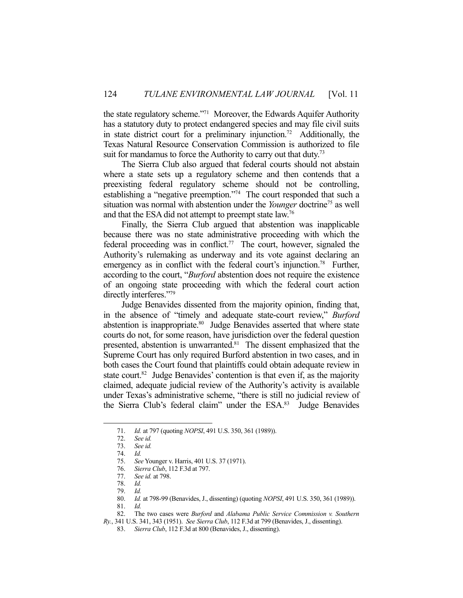the state regulatory scheme."71 Moreover, the Edwards Aquifer Authority has a statutory duty to protect endangered species and may file civil suits in state district court for a preliminary injunction.72 Additionally, the Texas Natural Resource Conservation Commission is authorized to file suit for mandamus to force the Authority to carry out that duty.<sup>73</sup>

 The Sierra Club also argued that federal courts should not abstain where a state sets up a regulatory scheme and then contends that a preexisting federal regulatory scheme should not be controlling, establishing a "negative preemption."74 The court responded that such a situation was normal with abstention under the *Younger* doctrine75 as well and that the ESA did not attempt to preempt state law.76

 Finally, the Sierra Club argued that abstention was inapplicable because there was no state administrative proceeding with which the federal proceeding was in conflict.<sup>77</sup> The court, however, signaled the Authority's rulemaking as underway and its vote against declaring an emergency as in conflict with the federal court's injunction.<sup>78</sup> Further, according to the court, "*Burford* abstention does not require the existence of an ongoing state proceeding with which the federal court action directly interferes."79

 Judge Benavides dissented from the majority opinion, finding that, in the absence of "timely and adequate state-court review," *Burford* abstention is inappropriate.80 Judge Benavides asserted that where state courts do not, for some reason, have jurisdiction over the federal question presented, abstention is unwarranted.<sup>81</sup> The dissent emphasized that the Supreme Court has only required Burford abstention in two cases, and in both cases the Court found that plaintiffs could obtain adequate review in state court.<sup>82</sup> Judge Benavides' contention is that even if, as the majority claimed, adequate judicial review of the Authority's activity is available under Texas's administrative scheme, "there is still no judicial review of the Sierra Club's federal claim" under the ESA.83 Judge Benavides

 <sup>71.</sup> *Id.* at 797 (quoting *NOPSI*, 491 U.S. 350, 361 (1989)).

 <sup>72.</sup> *See id.*

See *id.* 

 <sup>74.</sup> *Id.*

 <sup>75.</sup> *See* Younger v. Harris, 401 U.S. 37 (1971).

 <sup>76.</sup> *Sierra Club*, 112 F.3d at 797.

 <sup>77.</sup> *See id.* at 798.

 <sup>78.</sup> *Id.* 

 <sup>79.</sup> *Id.* 

 <sup>80.</sup> *Id.* at 798-99 (Benavides, J., dissenting) (quoting *NOPSI*, 491 U.S. 350, 361 (1989)).

 $81.$  *Id.* 

 <sup>82.</sup> The two cases were *Burford* and *Alabama Public Service Commission v. Southern Ry.*, 341 U.S. 341, 343 (1951). *See Sierra Club*, 112 F.3d at 799 (Benavides, J., dissenting).

 <sup>83.</sup> *Sierra Club*, 112 F.3d at 800 (Benavides, J., dissenting).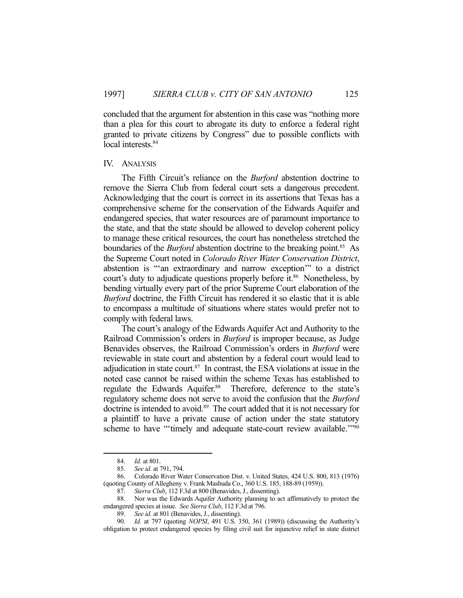concluded that the argument for abstention in this case was "nothing more than a plea for this court to abrogate its duty to enforce a federal right granted to private citizens by Congress" due to possible conflicts with local interests.<sup>84</sup>

#### IV. ANALYSIS

 The Fifth Circuit's reliance on the *Burford* abstention doctrine to remove the Sierra Club from federal court sets a dangerous precedent. Acknowledging that the court is correct in its assertions that Texas has a comprehensive scheme for the conservation of the Edwards Aquifer and endangered species, that water resources are of paramount importance to the state, and that the state should be allowed to develop coherent policy to manage these critical resources, the court has nonetheless stretched the boundaries of the *Burford* abstention doctrine to the breaking point.<sup>85</sup> As the Supreme Court noted in *Colorado River Water Conservation District*, abstention is "'an extraordinary and narrow exception'" to a district court's duty to adjudicate questions properly before it.<sup>86</sup> Nonetheless, by bending virtually every part of the prior Supreme Court elaboration of the *Burford* doctrine, the Fifth Circuit has rendered it so elastic that it is able to encompass a multitude of situations where states would prefer not to comply with federal laws.

 The court's analogy of the Edwards Aquifer Act and Authority to the Railroad Commission's orders in *Burford* is improper because, as Judge Benavides observes, the Railroad Commission's orders in *Burford* were reviewable in state court and abstention by a federal court would lead to adjudication in state court. $87$  In contrast, the ESA violations at issue in the noted case cannot be raised within the scheme Texas has established to regulate the Edwards Aquifer.<sup>88</sup> Therefore, deference to the state's regulatory scheme does not serve to avoid the confusion that the *Burford* doctrine is intended to avoid.<sup>89</sup> The court added that it is not necessary for a plaintiff to have a private cause of action under the state statutory scheme to have "'timely and adequate state-court review available.'"<sup>90</sup>

 <sup>84.</sup> *Id.* at 801.

 <sup>85.</sup> *See id.* at 791, 794.

 <sup>86.</sup> Colorado River Water Conservation Dist. v. United States, 424 U.S. 800, 813 (1976) (quoting County of Allegheny v. Frank Mashuda Co., 360 U.S. 185, 188-89 (1959)).

 <sup>87.</sup> *Sierra Club*, 112 F.3d at 800 (Benavides, J., dissenting).

 <sup>88.</sup> Nor was the Edwards Aquifer Authority planning to act affirmatively to protect the endangered species at issue. *See Sierra Club*, 112 F.3d at 796.

 <sup>89.</sup> *See id.* at 801 (Benavides, J., dissenting).

 <sup>90.</sup> *Id.* at 797 (quoting *NOPSI*, 491 U.S. 350, 361 (1989)) (discussing the Authority's obligation to protect endangered species by filing civil suit for injunctive relief in state district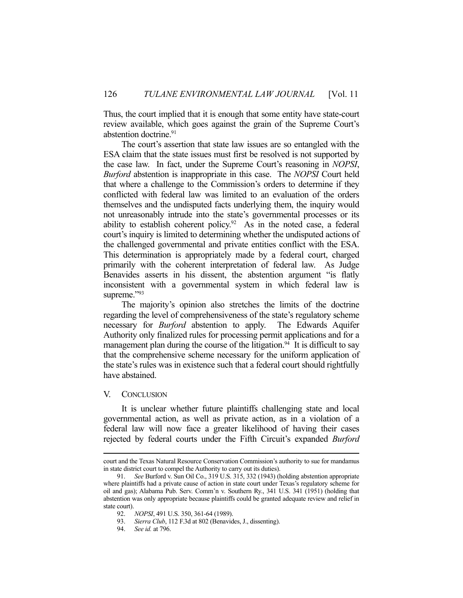Thus, the court implied that it is enough that some entity have state-court review available, which goes against the grain of the Supreme Court's abstention doctrine.<sup>91</sup>

 The court's assertion that state law issues are so entangled with the ESA claim that the state issues must first be resolved is not supported by the case law. In fact, under the Supreme Court's reasoning in *NOPSI*, *Burford* abstention is inappropriate in this case. The *NOPSI* Court held that where a challenge to the Commission's orders to determine if they conflicted with federal law was limited to an evaluation of the orders themselves and the undisputed facts underlying them, the inquiry would not unreasonably intrude into the state's governmental processes or its ability to establish coherent policy.<sup>92</sup> As in the noted case, a federal court's inquiry is limited to determining whether the undisputed actions of the challenged governmental and private entities conflict with the ESA. This determination is appropriately made by a federal court, charged primarily with the coherent interpretation of federal law. As Judge Benavides asserts in his dissent, the abstention argument "is flatly inconsistent with a governmental system in which federal law is supreme."93

 The majority's opinion also stretches the limits of the doctrine regarding the level of comprehensiveness of the state's regulatory scheme necessary for *Burford* abstention to apply. The Edwards Aquifer Authority only finalized rules for processing permit applications and for a management plan during the course of the litigation.<sup>94</sup> It is difficult to say that the comprehensive scheme necessary for the uniform application of the state's rules was in existence such that a federal court should rightfully have abstained.

### V. CONCLUSION

 It is unclear whether future plaintiffs challenging state and local governmental action, as well as private action, as in a violation of a federal law will now face a greater likelihood of having their cases rejected by federal courts under the Fifth Circuit's expanded *Burford*

court and the Texas Natural Resource Conservation Commission's authority to sue for mandamus in state district court to compel the Authority to carry out its duties).

 <sup>91.</sup> *See* Burford v. Sun Oil Co., 319 U.S. 315, 332 (1943) (holding abstention appropriate where plaintiffs had a private cause of action in state court under Texas's regulatory scheme for oil and gas); Alabama Pub. Serv. Comm'n v. Southern Ry., 341 U.S. 341 (1951) (holding that abstention was only appropriate because plaintiffs could be granted adequate review and relief in state court).

 <sup>92.</sup> *NOPSI*, 491 U.S. 350, 361-64 (1989).

 <sup>93.</sup> *Sierra Club*, 112 F.3d at 802 (Benavides, J., dissenting).

 <sup>94.</sup> *See id.* at 796.